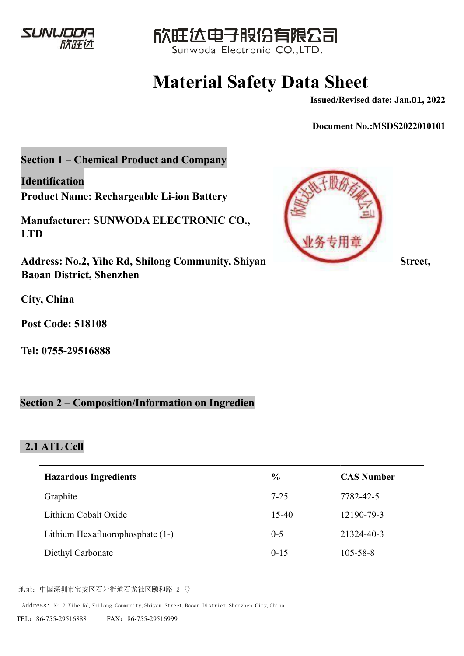



Sunwoda Electronic CO., LTD.

# **Material Safety Data Sheet**

**Issued/Revised date: Jan.01, 2022** 

**Document No.:MSDS2022010101** 

**Section 1 – Chemical Product and Company** 

**Identification** 

**Product Name: Rechargeable Li-ion Battery** 

**Manufacturer: SUNWODA ELECTRONIC CO., LTD** 

Address: No.2, Yihe Rd, Shilong Community, Shiyan Street, **Baoan District, Shenzhen** 



**Post Code: 518108** 

**Tel: 0755-29516888** 

# **Section 2 – Composition/Information on Ingredien**

# **2.1 ATL Cell**

| <b>Hazardous Ingredients</b>     | $\frac{6}{6}$ | <b>CAS Number</b> |
|----------------------------------|---------------|-------------------|
| Graphite                         | $7 - 25$      | 7782-42-5         |
| Lithium Cobalt Oxide             | $15-40$       | 12190-79-3        |
| Lithium Hexafluorophosphate (1-) | $0 - 5$       | 21324-40-3        |
| Diethyl Carbonate                | $0 - 15$      | $105 - 58 - 8$    |

地址:中国深圳市宝安区石岩街道石龙社区颐和路 2 号

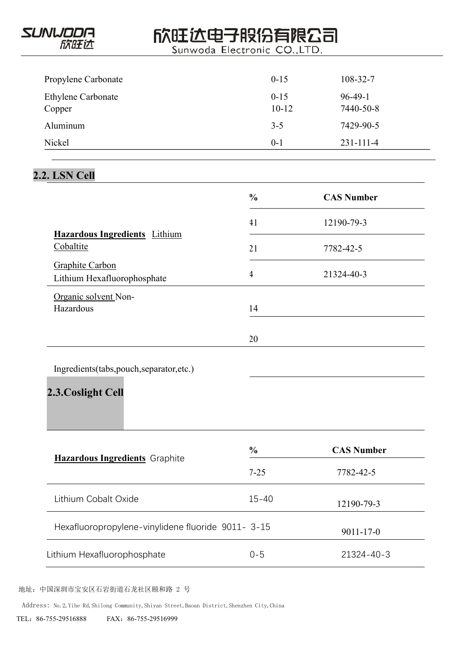

# **MRII达电子股份有限公司**

| Propylene Carbonate                 | $0 - 15$              | 108-32-7               |
|-------------------------------------|-----------------------|------------------------|
| <b>Ethylene Carbonate</b><br>Copper | $0 - 15$<br>$10 - 12$ | $96-49-1$<br>7440-50-8 |
| Aluminum                            | $3 - 5$               | 7429-90-5              |
| Nickel                              | $0 - 1$               | $231 - 111 - 4$        |

 $\overline{\phantom{a}}$ 

# **2.2. LSN Cell**

|                                                | $\frac{1}{2}$  | <b>CAS Number</b> |
|------------------------------------------------|----------------|-------------------|
| <b>Hazardous Ingredients</b> Lithium           | 41             | 12190-79-3        |
| Cobaltite                                      | 21             | 7782-42-5         |
| Graphite Carbon<br>Lithium Hexafluorophosphate | $\overline{4}$ | 21324-40-3        |
| Organic solvent Non-<br>Hazardous              | 14             |                   |
|                                                | 20             |                   |

Ingredients(tabs,pouch,separator,etc.)

# **2.3.Coslight Cell**

| <b>Hazardous Ingredients</b> Graphite              | $\frac{1}{2}$ | <b>CAS Number</b> |  |  |
|----------------------------------------------------|---------------|-------------------|--|--|
|                                                    | $7 - 25$      | 7782-42-5         |  |  |
| Lithium Cobalt Oxide                               | $15 - 40$     | 12190-79-3        |  |  |
| Hexafluoropropylene-vinylidene fluoride 9011- 3-15 |               | $9011 - 17 - 0$   |  |  |
| Lithium Hexafluorophosphate                        | $0 - 5$       | $21324 - 40 - 3$  |  |  |

地址:中国深圳市宝安区石岩街道石龙社区颐和路 2 号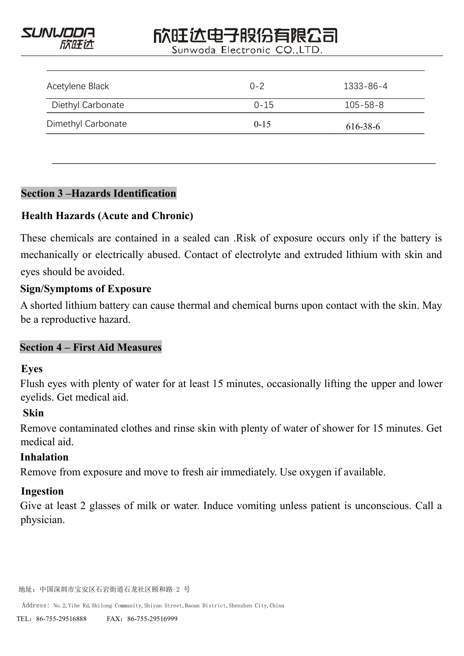

# 欣旺达电子股份有限公司

Sunwoda Electronic CO., LTD.

j.

| Acetylene Black    | $0 - 2$  | 1333-86-4      |
|--------------------|----------|----------------|
| Diethyl Carbonate  | $0 - 15$ | $105 - 58 - 8$ |
| Dimethyl Carbonate | $0-15$   | 616-38-6       |

#### **Section 3 –Hazards Identification**

#### **Health Hazards (Acute and Chronic)**

These chemicals are contained in a sealed can .Risk of exposure occurs only if the battery is mechanically or electrically abused. Contact of electrolyte and extruded lithium with skin and eyes should be avoided.

#### **Sign/Symptoms of Exposure**

A shorted lithium battery can cause thermal and chemical burns upon contact with the skin. May be a reproductive hazard.

#### **Section 4 – First Aid Measures**

#### **Eyes**

Flush eyes with plenty of water for at least 15 minutes, occasionally lifting the upper and lower eyelids. Get medical aid.

#### **Skin**

Remove contaminated clothes and rinse skin with plenty of water of shower for 15 minutes. Get medical aid.

#### **Inhalation**

Remove from exposure and move to fresh air immediately. Use oxygen if available.

#### **Ingestion**

Give at least 2 glasses of milk or water. Induce vomiting unless patient is unconscious. Call a physician.

地址:中国深圳市宝安区石岩街道石龙社区颐和路 2 号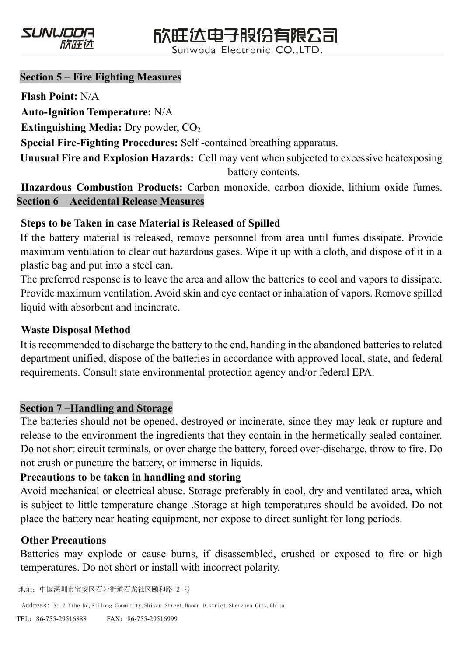#### **Section 5 – Fire Fighting Measures**

**Flash Point:** N/A **Auto-Ignition Temperature:** N/A **Extinguishing Media:** Dry powder, CO<sub>2</sub> **Special Fire-Fighting Procedures:** Self -contained breathing apparatus. **Unusual Fire and Explosion Hazards:** Cell may vent when subjected to excessive heatexposing battery contents.

# **Hazardous Combustion Products:** Carbon monoxide, carbon dioxide, lithium oxide fumes. **Section 6 – Accidental Release Measures**

## **Steps to be Taken in case Material is Released of Spilled**

If the battery material is released, remove personnel from area until fumes dissipate. Provide maximum ventilation to clear out hazardous gases. Wipe it up with a cloth, and dispose of it in a plastic bag and put into a steel can.

The preferred response is to leave the area and allow the batteries to cool and vapors to dissipate. Provide maximum ventilation. Avoid skin and eye contact or inhalation of vapors. Remove spilled liquid with absorbent and incinerate.

#### **Waste Disposal Method**

It is recommended to discharge the battery to the end, handing in the abandoned batteries to related department unified, dispose of the batteries in accordance with approved local, state, and federal requirements. Consult state environmental protection agency and/or federal EPA.

## **Section 7 –Handling and Storage**

The batteries should not be opened, destroyed or incinerate, since they may leak or rupture and release to the environment the ingredients that they contain in the hermetically sealed container. Do not short circuit terminals, or over charge the battery, forced over-discharge, throw to fire. Do not crush or puncture the battery, or immerse in liquids.

# **Precautions to be taken in handling and storing**

Avoid mechanical or electrical abuse. Storage preferably in cool, dry and ventilated area, which is subject to little temperature change .Storage at high temperatures should be avoided. Do not place the battery near heating equipment, nor expose to direct sunlight for long periods.

#### **Other Precautions**

Batteries may explode or cause burns, if disassembled, crushed or exposed to fire or high temperatures. Do not short or install with incorrect polarity.

地址:中国深圳市宝安区石岩街道石龙社区颐和路 2 号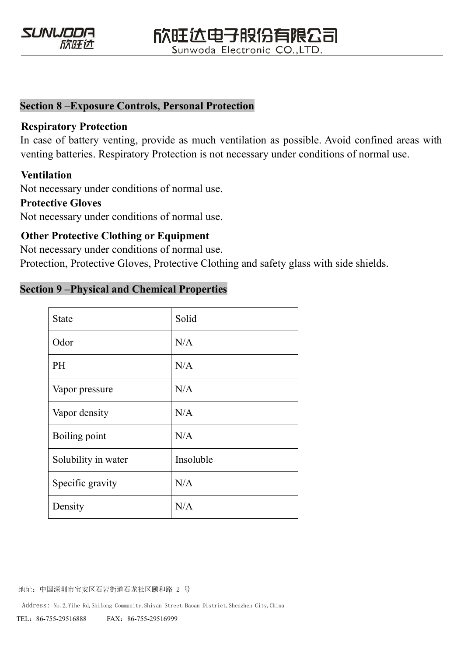# **Section 8 –Exposure Controls, Personal Protection**

#### **Respiratory Protection**

In case of battery venting, provide as much ventilation as possible. Avoid confined areas with venting batteries. Respiratory Protection is not necessary under conditions of normal use.

## **Ventilation**

Not necessary under conditions of normal use.

#### **Protective Gloves**

Not necessary under conditions of normal use.

# **Other Protective Clothing or Equipment**

Not necessary under conditions of normal use. Protection, Protective Gloves, Protective Clothing and safety glass with side shields.

## **Section 9 –Physical and Chemical Properties**

| <b>State</b>        | Solid     |
|---------------------|-----------|
| Odor                | N/A       |
| PH                  | N/A       |
| Vapor pressure      | N/A       |
| Vapor density       | N/A       |
| Boiling point       | N/A       |
| Solubility in water | Insoluble |
| Specific gravity    | N/A       |
| Density             | N/A       |

地址:中国深圳市宝安区石岩街道石龙社区颐和路 2 号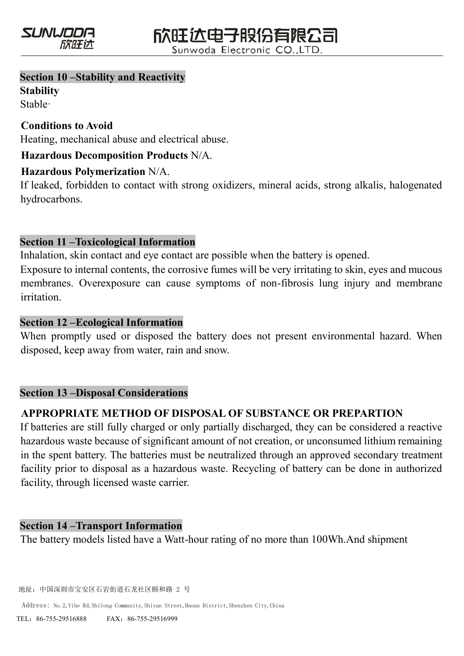

欣旺达电子股份有限公司 Sunwoda Electronic CO., LTD.

**Section 10 –Stability and Reactivity** 

**Stability**  Stable·

## **Conditions to Avoid**

Heating, mechanical abuse and electrical abuse.

## **Hazardous Decomposition Products** N/A.

#### **Hazardous Polymerization** N/A.

If leaked, forbidden to contact with strong oxidizers, mineral acids, strong alkalis, halogenated hydrocarbons.

#### **Section 11 –Toxicological Information**

Inhalation, skin contact and eye contact are possible when the battery is opened.

Exposure to internal contents, the corrosive fumes will be very irritating to skin, eyes and mucous membranes. Overexposure can cause symptoms of non-fibrosis lung injury and membrane irritation.

#### **Section 12 –Ecological Information**

When promptly used or disposed the battery does not present environmental hazard. When disposed, keep away from water, rain and snow.

## **Section 13 –Disposal Considerations**

#### **APPROPRIATE METHOD OF DISPOSAL OF SUBSTANCE OR PREPARTION**

If batteries are still fully charged or only partially discharged, they can be considered a reactive hazardous waste because of significant amount of not creation, or unconsumed lithium remaining in the spent battery. The batteries must be neutralized through an approved secondary treatment facility prior to disposal as a hazardous waste. Recycling of battery can be done in authorized facility, through licensed waste carrier.

#### **Section 14 –Transport Information**

The battery models listed have a Watt-hour rating of no more than 100Wh.And shipment

地址:中国深圳市宝安区石岩街道石龙社区颐和路 2 号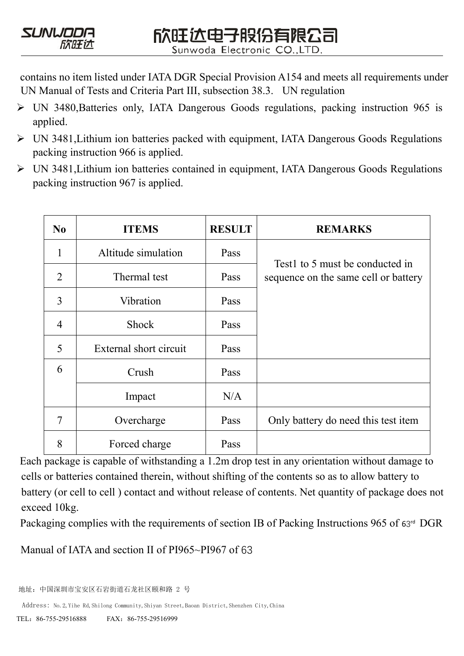contains no item listed under IATA DGR Special Provision A154 and meets all requirements under UN Manual of Tests and Criteria Part III, subsection 38.3. UN regulation

- UN 3480,Batteries only, IATA Dangerous Goods regulations, packing instruction 965 is applied.
- UN 3481,Lithium ion batteries packed with equipment, IATA Dangerous Goods Regulations packing instruction 966 is applied.
- UN 3481,Lithium ion batteries contained in equipment, IATA Dangerous Goods Regulations packing instruction 967 is applied.

| $\bf No$       | <b>ITEMS</b>           | <b>RESULT</b> | <b>REMARKS</b>                                                          |
|----------------|------------------------|---------------|-------------------------------------------------------------------------|
| 1              | Altitude simulation    | Pass          |                                                                         |
| $\overline{2}$ | Thermal test           | Pass          | Test1 to 5 must be conducted in<br>sequence on the same cell or battery |
| 3              | Vibration              | Pass          |                                                                         |
| $\overline{4}$ | <b>Shock</b>           | Pass          |                                                                         |
| 5              | External short circuit | Pass          |                                                                         |
| 6              | Crush                  | Pass          |                                                                         |
|                | Impact                 | N/A           |                                                                         |
| 7              | Overcharge             | Pass          | Only battery do need this test item                                     |
| 8              | Forced charge          | Pass          |                                                                         |

Each package is capable of withstanding a 1.2m drop test in any orientation without damage to cells or batteries contained therein, without shifting of the contents so as to allow battery to battery (or cell to cell ) contact and without release of contents. Net quantity of package does not exceed 10kg.

Packaging complies with the requirements of section IB of Packing Instructions 965 of 63rd DGR

Manual of IATA and section II of PI965~PI967 of 63

地址:中国深圳市宝安区石岩街道石龙社区颐和路 2 号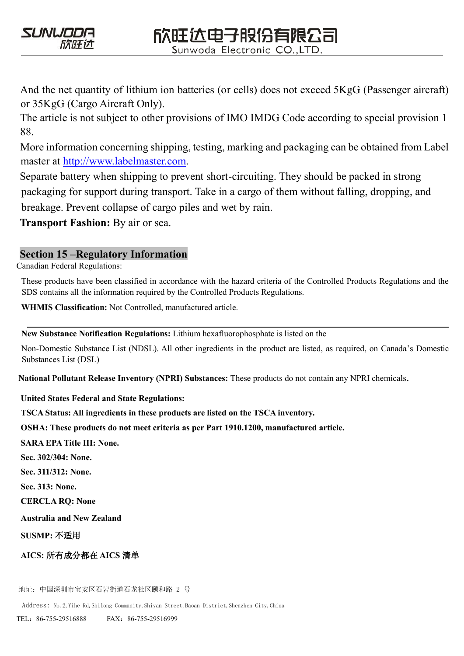And the net quantity of lithium ion batteries (or cells) does not exceed 5KgG (Passenger aircraft) or 35KgG (Cargo Aircraft Only).

The article is not subject to other provisions of IMO IMDG Code according to special provision 1 88.

More information concerning shipping, testing, marking and packaging can be obtained from Label master at http://www.labelmaster.com.

Separate battery when shipping to prevent short-circuiting. They should be packed in strong packaging for support during transport. Take in a cargo of them without falling, dropping, and breakage. Prevent collapse of cargo piles and wet by rain.

**Transport Fashion:** By air or sea.

#### **Section 15 –Regulatory Information**

Canadian Federal Regulations:

These products have been classified in accordance with the hazard criteria of the Controlled Products Regulations and the SDS contains all the information required by the Controlled Products Regulations.

**WHMIS Classification:** Not Controlled, manufactured article.

**New Substance Notification Regulations:** Lithium hexafluorophosphate is listed on the

Non-Domestic Substance List (NDSL). All other ingredients in the product are listed, as required, on Canada's Domestic Substances List (DSL)

**National Pollutant Release Inventory (NPRI) Substances:** These products do not contain any NPRI chemicals.

**United States Federal and State Regulations:** 

**TSCA Status: All ingredients in these products are listed on the TSCA inventory.** 

**OSHA: These products do not meet criteria as per Part 1910.1200, manufactured article.** 

**SARA EPA Title III: None.** 

**Sec. 302/304: None.** 

**Sec. 311/312: None.** 

**Sec. 313: None.** 

**CERCLA RQ: None** 

**Australia and New Zealand** 

**SUSMP:** 不适用

#### **AICS:** 所有成分都在 **AICS** 清单

地址:中国深圳市宝安区石岩街道石龙社区颐和路 2 号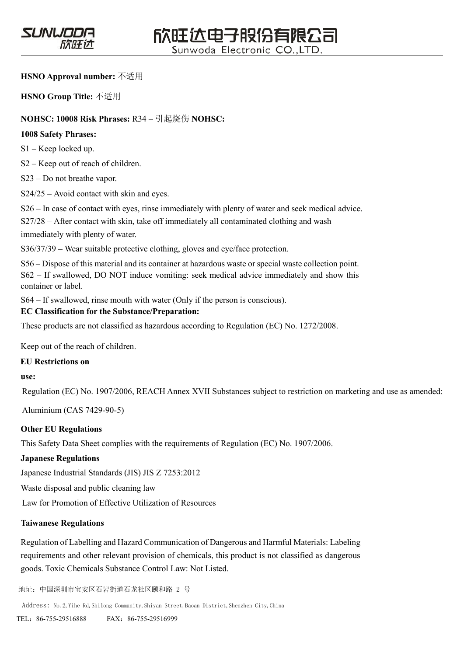#### **HSNO Approval number:** 不适用

#### **HSNO Group Title:** 不适用

#### **NOHSC: 10008 Risk Phrases:** R34 – 引起烧伤 **NOHSC:**

#### **1008 Safety Phrases:**

S1 – Keep locked up.

S2 – Keep out of reach of children.

S23 – Do not breathe vapor.

S24/25 – Avoid contact with skin and eyes.

S26 – In case of contact with eyes, rinse immediately with plenty of water and seek medical advice.

S27/28 – After contact with skin, take off immediately all contaminated clothing and wash

immediately with plenty of water.

S36/37/39 – Wear suitable protective clothing, gloves and eye/face protection.

S56 – Dispose of this material and its container at hazardous waste or special waste collection point. S62 – If swallowed, DO NOT induce vomiting: seek medical advice immediately and show this container or label.

S64 – If swallowed, rinse mouth with water (Only if the person is conscious).

#### **EC Classification for the Substance/Preparation:**

These products are not classified as hazardous according to Regulation (EC) No. 1272/2008.

Keep out of the reach of children.

#### **EU Restrictions on**

**use:** 

Regulation (EC) No. 1907/2006, REACH Annex XVII Substances subject to restriction on marketing and use as amended:

Aluminium (CAS 7429-90-5)

#### **Other EU Regulations**

This Safety Data Sheet complies with the requirements of Regulation (EC) No. 1907/2006.

#### **Japanese Regulations**

Japanese Industrial Standards (JIS) JIS Z 7253:2012

Waste disposal and public cleaning law

Law for Promotion of Effective Utilization of Resources

#### **Taiwanese Regulations**

Regulation of Labelling and Hazard Communication of Dangerous and Harmful Materials: Labeling requirements and other relevant provision of chemicals, this product is not classified as dangerous goods. Toxic Chemicals Substance Control Law: Not Listed.

地址:中国深圳市宝安区石岩街道石龙社区颐和路 2 号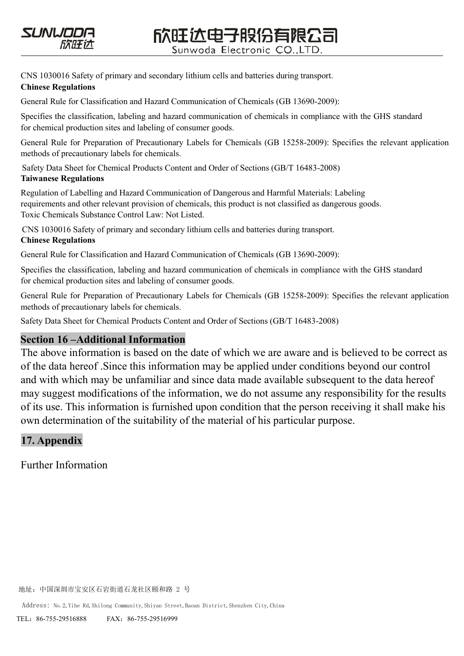

欣旺达电子股份有限公司 Sunwoda Electronic CO., LTD.

CNS 1030016 Safety of primary and secondary lithium cells and batteries during transport.

#### **Chinese Regulations**

General Rule for Classification and Hazard Communication of Chemicals (GB 13690-2009):

Specifies the classification, labeling and hazard communication of chemicals in compliance with the GHS standard for chemical production sites and labeling of consumer goods.

General Rule for Preparation of Precautionary Labels for Chemicals (GB 15258-2009): Specifies the relevant application methods of precautionary labels for chemicals.

Safety Data Sheet for Chemical Products Content and Order of Sections (GB/T 16483-2008) **Taiwanese Regulations** 

Regulation of Labelling and Hazard Communication of Dangerous and Harmful Materials: Labeling requirements and other relevant provision of chemicals, this product is not classified as dangerous goods. Toxic Chemicals Substance Control Law: Not Listed.

CNS 1030016 Safety of primary and secondary lithium cells and batteries during transport. **Chinese Regulations** 

General Rule for Classification and Hazard Communication of Chemicals (GB 13690-2009):

Specifies the classification, labeling and hazard communication of chemicals in compliance with the GHS standard for chemical production sites and labeling of consumer goods.

General Rule for Preparation of Precautionary Labels for Chemicals (GB 15258-2009): Specifies the relevant application methods of precautionary labels for chemicals.

Safety Data Sheet for Chemical Products Content and Order of Sections (GB/T 16483-2008)

#### **Section 16 –Additional Information**

The above information is based on the date of which we are aware and is believed to be correct as of the data hereof .Since this information may be applied under conditions beyond our control and with which may be unfamiliar and since data made available subsequent to the data hereof may suggest modifications of the information, we do not assume any responsibility for the results of its use. This information is furnished upon condition that the person receiving it shall make his own determination of the suitability of the material of his particular purpose.

# **17. Appendix**

Further Information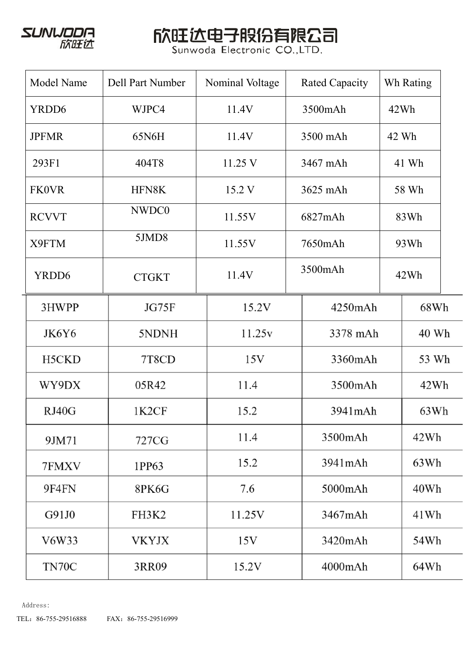

# **MEI 达电子股份有限公司**

| Model Name        | Dell Part Number | Nominal Voltage    | <b>Rated Capacity</b> | Wh Rating |  |
|-------------------|------------------|--------------------|-----------------------|-----------|--|
| YRDD <sub>6</sub> | WJPC4            | 11.4V              | 3500mAh               | 42Wh      |  |
| <b>JPFMR</b>      | 65N6H            | 11.4V              | 3500 mAh              | 42 Wh     |  |
| 293F1             | 404T8            | 11.25 V            | 3467 mAh              | 41 Wh     |  |
| <b>FK0VR</b>      | HFN8K            | 15.2 V             | 3625 mAh              | 58 Wh     |  |
| <b>RCVVT</b>      | NWDC0            | 11.55V             | 6827mAh               | 83Wh      |  |
| X9FTM             | 5JMD8            | 11.55V             | 7650mAh               | 93Wh      |  |
| YRDD <sub>6</sub> | <b>CTGKT</b>     | 11.4V              | 3500mAh               | 42Wh      |  |
| 3HWPP             | JG75F            | 15.2V              | 4250mAh               | 68Wh      |  |
| JK6Y6             | 5NDNH            | 11.25 <sub>v</sub> | 3378 mAh              | 40 Wh     |  |
| H5CKD             | 7T8CD            | 15V                | 3360mAh               | 53 Wh     |  |
| WY9DX             | 05R42            | 11.4               | 3500mAh               | 42Wh      |  |
| RJ40G             | 1K2CF            | 15.2               | 3941mAh               | 63Wh      |  |
| 9JM71             | 727CG            | 11.4               | 3500mAh               | 42Wh      |  |
| 7FMXV             | 1PP63            | 15.2               | 3941mAh               | 63Wh      |  |
| 9F4FN             | 8PK6G            | 7.6                | 5000mAh               | 40Wh      |  |
| G91J0             | FH3K2            | 11.25V             | 3467mAh               | 41Wh      |  |
| V6W33             | <b>VKYJX</b>     | 15V                | 3420mAh               | 54Wh      |  |
| TN70C             | 3RR09            | 15.2V              | 4000mAh               | 64Wh      |  |

Address: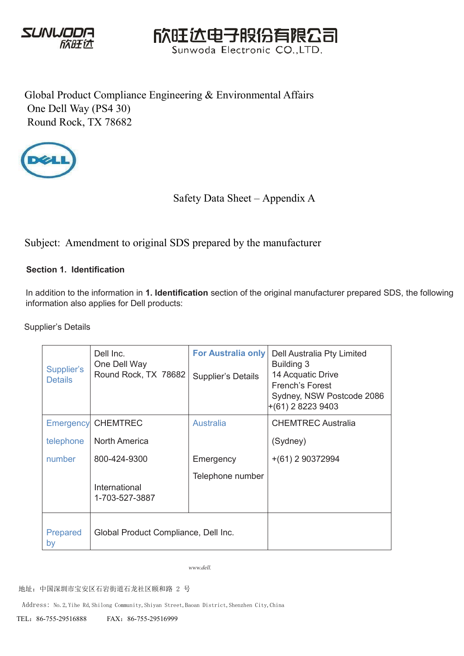

欣旺达电子股份有限公司 Sunwoda Electronic CO., LTD.

Global Product Compliance Engineering & Environmental Affairs One Dell Way (PS4 30) Round Rock, TX 78682



# Safety Data Sheet – Appendix A

Subject: Amendment to original SDS prepared by the manufacturer

#### **Section 1. Identification**

In addition to the information in **1. Identification** section of the original manufacturer prepared SDS, the following information also applies for Dell products:

Supplier's Details

| Supplier's<br><b>Details</b> | Dell Inc.<br>One Dell Way<br>Round Rock, TX 78682 | <b>For Australia only</b><br><b>Supplier's Details</b> | Dell Australia Pty Limited<br><b>Building 3</b><br>14 Acquatic Drive<br><b>French's Forest</b><br>Sydney, NSW Postcode 2086<br>$+(61)$ 2 8223 9403 |
|------------------------------|---------------------------------------------------|--------------------------------------------------------|----------------------------------------------------------------------------------------------------------------------------------------------------|
| Emergency                    | <b>CHEMTREC</b>                                   | <b>Australia</b>                                       | <b>CHEMTREC Australia</b>                                                                                                                          |
| telephone                    | <b>North America</b>                              |                                                        | (Sydney)                                                                                                                                           |
| number                       | 800-424-9300                                      | Emergency                                              | $+(61)$ 2 90372994                                                                                                                                 |
|                              | International<br>1-703-527-3887                   | Telephone number                                       |                                                                                                                                                    |
| Prepared<br>by               | Global Product Compliance, Dell Inc.              |                                                        |                                                                                                                                                    |

*www.dell.*

#### 地址:中国深圳市宝安区石岩街道石龙社区颐和路 2 号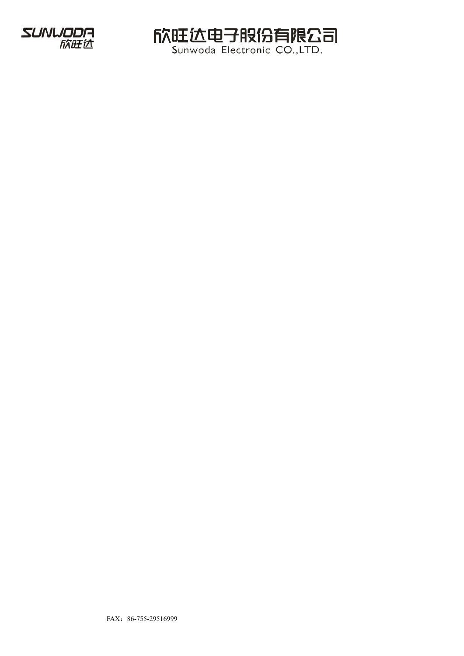